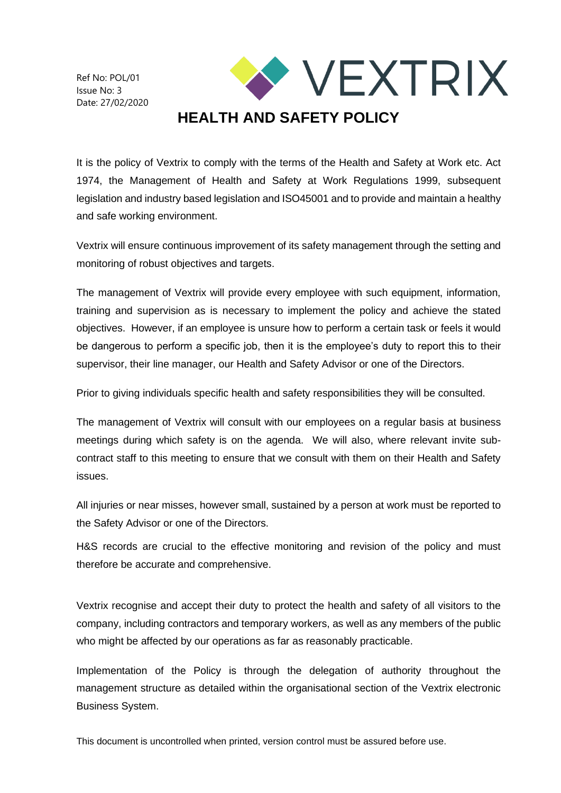Ref No: POL/01 Issue No: 3 Date: 27/02/2020



It is the policy of Vextrix to comply with the terms of the Health and Safety at Work etc. Act 1974, the Management of Health and Safety at Work Regulations 1999, subsequent legislation and industry based legislation and ISO45001 and to provide and maintain a healthy and safe working environment.

Vextrix will ensure continuous improvement of its safety management through the setting and monitoring of robust objectives and targets.

The management of Vextrix will provide every employee with such equipment, information, training and supervision as is necessary to implement the policy and achieve the stated objectives. However, if an employee is unsure how to perform a certain task or feels it would be dangerous to perform a specific job, then it is the employee's duty to report this to their supervisor, their line manager, our Health and Safety Advisor or one of the Directors.

Prior to giving individuals specific health and safety responsibilities they will be consulted.

The management of Vextrix will consult with our employees on a regular basis at business meetings during which safety is on the agenda. We will also, where relevant invite subcontract staff to this meeting to ensure that we consult with them on their Health and Safety issues.

All injuries or near misses, however small, sustained by a person at work must be reported to the Safety Advisor or one of the Directors.

H&S records are crucial to the effective monitoring and revision of the policy and must therefore be accurate and comprehensive.

Vextrix recognise and accept their duty to protect the health and safety of all visitors to the company, including contractors and temporary workers, as well as any members of the public who might be affected by our operations as far as reasonably practicable.

Implementation of the Policy is through the delegation of authority throughout the management structure as detailed within the organisational section of the Vextrix electronic Business System.

This document is uncontrolled when printed, version control must be assured before use.